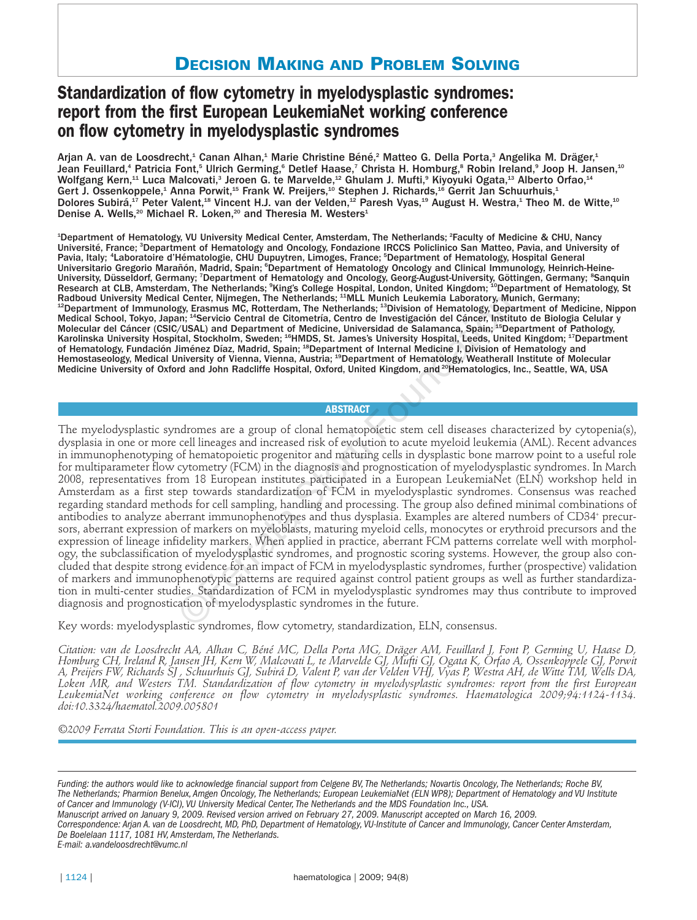# **DECISION MAKING AND PROBLEM SOLVING**

# **Standardization of flow cytometry in myelodysplastic syndromes: report from the first European LeukemiaNet working conference on flow cytometry in myelodysplastic syndromes**

Arjan A. van de Loosdrecht,<sup>1</sup> Canan Alhan,<sup>1</sup> Marie Christine Béné,<sup>2</sup> Matteo G. Della Porta,<sup>3</sup> Angelika M. Dräger,<sup>1</sup> Jean Feuillard,<sup>4</sup> Patricia Font,<sup>5</sup> Ulrich Germing,<sup>6</sup> Detlef Haase,<sup>7</sup> Christa H. Homburg,<sup>8</sup> Robin Ireland,<sup>9</sup> Joop H. Jansen,<sup>10</sup> Wolfgang Kern,<sup>11</sup> Luca Malcovati,<sup>3</sup> Jeroen G. te Marvelde,<sup>12</sup> Ghulam J. Mufti,<sup>9</sup> Kiyoyuki Ogata,<sup>13</sup> Alberto Orfao,<sup>14</sup> Gert J. Ossenkoppele,<sup>1</sup> Anna Porwit,<sup>15</sup> Frank W. Preijers,<sup>10</sup> Stephen J. Richards,<sup>16</sup> Gerrit Jan Schuurhuis,<sup>1</sup> Dolores Subirá,<sup>17</sup> Peter Valent,<sup>18</sup> Vincent H.J. van der Velden,<sup>12</sup> Paresh Vyas,<sup>19</sup> August H. Westra,<sup>1</sup> Theo M. de Witte,<sup>10</sup> Denise A. Wells,<sup>20</sup> Michael R. Loken,<sup>20</sup> and Theresia M. Westers<sup>1</sup>

<sup>1</sup>Department of Hematology, VU University Medical Center, Amsterdam, The Netherlands; <sup>2</sup>Faculty of Medicine & CHU, Nancy Université, France; <sup>3</sup>Department of Hematology and Oncology, Fondazione IRCCS Policlinico San Matteo, Pavia, and University of Pavia, Italy; <sup>4</sup>Laboratoire d'Hématologie, CHU Dupuytren, Limoges, France; <sup>5</sup>Department of Hematology, Hospital General Universitario Gregorio Marañón, Madrid, Spain; <sup>e</sup>Department of Hematology Oncology and Clinical Immunology, Heinrich-Heine-University, Düsseldorf, Germany; <sup>7</sup>Department of Hematology and Oncology, Georg-August-University, Göttingen, Germany; <sup>8</sup>Sanquin Research at CLB, Amsterdam, The Netherlands; <sup>9</sup>King's College Hospital, London, United Kingdom; <sup>10</sup>Department of Hematology, St Radboud University Medical Center, Nijmegen, The Netherlands; <sup>11</sup>MLL Munich Leukemia Laboratory, Munich, Germany;<br><sup>12</sup>Department of Immunology, Erasmus MC, Rotterdam, The Netherlands; <sup>13</sup>Division of Hematology, Departmen Medical School, Tokyo, Japan; 14Servicio Central de Citometría, Centro de Investigación del Cáncer, Instituto de Biologia Celular y Molecular del Cáncer (CSIC/USAL) and Department of Medicine, Universidad de Salamanca, Spain; 15Department of Pathology, Karolinska University Hospital, Stockholm, Sweden; <sup>16</sup>HMDS, St. James's University Hospital, Leeds, United Kingdom; <sup>17</sup>Department of Hematology, Fundación Jiménez Díaz, Madrid, Spain; <sup>18</sup>Department of Internal Medicine I, Division of Hematology and Hemostaseology, Medical University of Vienna, Vienna, Austria; <sup>19</sup>Department of Hematology, Weatherall Institute of Molecular Medicine University of Oxford and John Radcliffe Hospital, Oxford, United Kingdom, and <sup>20</sup>Hematologics, Inc., Seattle, WA, USA

# **ABSTRACT**

The myelodysplastic syndromes are a group of clonal hematopoietic stem cell diseases characterized by cytopenia(s), dysplasia in one or more cell lineages and increased risk of evolution to acute myeloid leukemia (AML). Recent advances in immunophenotyping of hematopoietic progenitor and maturing cells in dysplastic bone marrow point to a useful role for multiparameter flow cytometry (FCM) in the diagnosis and prognostication of myelodysplastic syndromes. In March 2008, representatives from 18 European institutes participated in a European LeukemiaNet (ELN) workshop held in Amsterdam as a first step towards standardization of FCM in myelodysplastic syndromes. Consensus was reached regarding standard methods for cell sampling, handling and processing. The group also defined minimal combinations of antibodies to analyze aberrant immunophenotypes and thus dysplasia. Examples are altered numbers of CD34+ precursors, aberrant expression of markers on myeloblasts, maturing myeloid cells, monocytes or erythroid precursors and the expression of lineage infidelity markers. When applied in practice, aberrant FCM patterns correlate well with morphology, the subclassification of myelodysplastic syndromes, and prognostic scoring systems. However, the group also concluded that despite strong evidence for an impact of FCM in myelodysplastic syndromes, further (prospective) validation of markers and immunophenotypic patterns are required against control patient groups as well as further standardization in multi-center studies. Standardization of FCM in myelodysplastic syndromes may thus contribute to improved diagnosis and prognostication of myelodysplastic syndromes in the future. l Center, Nijmegen, The Netherlands; "MILL Munich Leukemia Laboratory, Munich (Series) and nether (USSA) and Department of Medicinetria, Centro de liventifies (Series (USSA) and Department of Medicine, University (USSA) an

Key words: myelodysplastic syndromes, flow cytometry, standardization, ELN, consensus.

*Citation: van de Loosdrecht AA, Alhan C, Béné MC, Della Porta MG, Dräger AM, Feuillard J, Font P, Germing U, Haase D, Homburg CH, Ireland R, Jansen JH, Kern W, Malcovati L, te Marvelde GJ, Mufti GJ, Ogata K, Orfao A, Ossenkoppele GJ, Porwit A, Preijers FW, Richards SJ , Schuurhuis GJ, Subirá D, Valent P, van der Velden VHJ, Vyas P, Westra AH, de Witte TM, Wells DA, Loken MR, and Westers TM. Standardization of flow cytometry in myelodysplastic syndromes: report from the first European LeukemiaNet working conference on flow cytometry in myelodysplastic syndromes. Haematologica 2009;94:1124-1134. doi:10.3324/haematol.2009.005801*

*©2009 Ferrata Storti Foundation. This is an open-access paper.* 

*Correspondence: Arjan A. van de Loosdrecht, MD, PhD, Department of Hematology, VU-Institute of Cancer and Immunology, Cancer Center Amsterdam, De Boelelaan 1117, 1081 HV, Amsterdam, The Netherlands.*

*E-mail: a.vandeloosdrecht@vumc.nl* 

*Funding: the authors would like to acknowledge financial support from Celgene BV, The Netherlands; Novartis Oncology, The Netherlands; Roche BV, The Netherlands; Pharmion Benelux, Amgen Oncology, The Netherlands; European LeukemiaNet (ELN WP8); Department of Hematology and VU Institute of Cancer and Immunology (V-ICI), VU University Medical Center, The Netherlands and the MDS Foundation Inc., USA.*

*Manuscript arrived on January 9, 2009. Revised version arrived on February 27, 2009. Manuscript accepted on March 16, 2009.*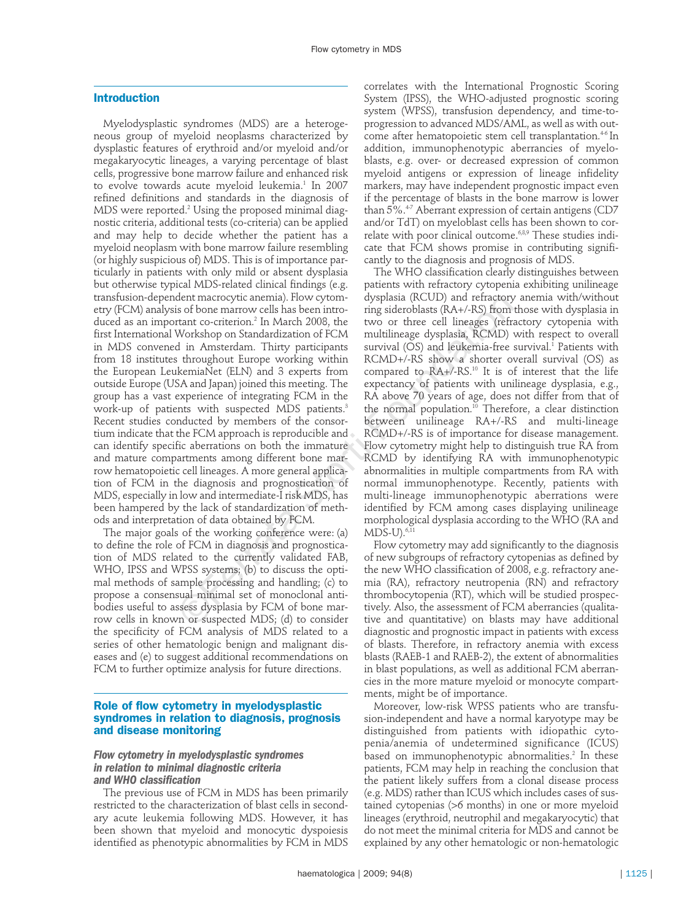# **Introduction**

Myelodysplastic syndromes (MDS) are a heterogeneous group of myeloid neoplasms characterized by dysplastic features of erythroid and/or myeloid and/or megakaryocytic lineages, a varying percentage of blast cells, progressive bone marrow failure and enhanced risk to evolve towards acute myeloid leukemia.<sup>1</sup> In 2007 refined definitions and standards in the diagnosis of MDS were reported.<sup>2</sup> Using the proposed minimal diagnostic criteria, additional tests (co-criteria) can be applied and may help to decide whether the patient has a myeloid neoplasm with bone marrow failure resembling (or highly suspicious of) MDS. This is of importance particularly in patients with only mild or absent dysplasia but otherwise typical MDS-related clinical findings (e.g. transfusion-dependent macrocytic anemia). Flow cytometry (FCM) analysis of bone marrow cells has been introduced as an important co-criterion.<sup>2</sup> In March 2008, the first International Workshop on Standardization of FCM in MDS convened in Amsterdam. Thirty participants from 18 institutes throughout Europe working within the European LeukemiaNet (ELN) and 3 experts from outside Europe (USA and Japan) joined this meeting. The group has a vast experience of integrating FCM in the work-up of patients with suspected MDS patients.<sup>3</sup> Recent studies conducted by members of the consortium indicate that the FCM approach is reproducible and can identify specific aberrations on both the immature and mature compartments among different bone marrow hematopoietic cell lineages. A more general application of FCM in the diagnosis and prognostication of MDS, especially in low and intermediate-I risk MDS, has been hampered by the lack of standardization of methods and interpretation of data obtained by FCM. dent macrocytic anemal). How cytom-<br>
dysplasa (RCUD) and retractory<br>
is of bone marrow cells has been intro-<br>
trig sideroblasts (RA+/-RS) from<br>
trant co-criterion.<sup>2</sup> In March 2008, the two or three cell lineages (refr.<br>
W

The major goals of the working conference were: (a) to define the role of FCM in diagnosis and prognostication of MDS related to the currently validated FAB, WHO, IPSS and WPSS systems; (b) to discuss the optimal methods of sample processing and handling; (c) to propose a consensual minimal set of monoclonal antibodies useful to assess dysplasia by FCM of bone marrow cells in known or suspected MDS; (d) to consider the specificity of FCM analysis of MDS related to a series of other hematologic benign and malignant diseases and (e) to suggest additional recommendations on FCM to further optimize analysis for future directions.

# **Role of flow cytometry in myelodysplastic syndromes in relation to diagnosis, prognosis and disease monitoring**

# *Flow cytometry in myelodysplastic syndromes in relation to minimal diagnostic criteria and WHO classification*

The previous use of FCM in MDS has been primarily restricted to the characterization of blast cells in secondary acute leukemia following MDS. However, it has been shown that myeloid and monocytic dyspoiesis identified as phenotypic abnormalities by FCM in MDS

correlates with the International Prognostic Scoring System (IPSS), the WHO-adjusted prognostic scoring system (WPSS), transfusion dependency, and time-toprogression to advanced MDS/AML, as well as with outcome after hematopoietic stem cell transplantation.<sup>46</sup> In addition, immunophenotypic aberrancies of myeloblasts, e.g. over- or decreased expression of common myeloid antigens or expression of lineage infidelity markers, may have independent prognostic impact even if the percentage of blasts in the bone marrow is lower than 5%.<sup>47</sup> Aberrant expression of certain antigens (CD7 and/or TdT) on myeloblast cells has been shown to correlate with poor clinical outcome.6,8,9 These studies indicate that FCM shows promise in contributing significantly to the diagnosis and prognosis of MDS.

The WHO classification clearly distinguishes between patients with refractory cytopenia exhibiting unilineage dysplasia (RCUD) and refractory anemia with/without ring sideroblasts (RA+/-RS) from those with dysplasia in two or three cell lineages (refractory cytopenia with multilineage dysplasia, RCMD) with respect to overall survival  $(OS)$  and leukemia-free survival.<sup>1</sup> Patients with RCMD+/-RS show a shorter overall survival (OS) as compared to RA+/-RS.10 It is of interest that the life expectancy of patients with unilineage dysplasia, e.g., RA above 70 years of age, does not differ from that of the normal population.<sup>10</sup> Therefore, a clear distinction between unilineage RA+/-RS and multi-lineage RCMD+/-RS is of importance for disease management. Flow cytometry might help to distinguish true RA from RCMD by identifying RA with immunophenotypic abnormalities in multiple compartments from RA with normal immunophenotype. Recently, patients with multi-lineage immunophenotypic aberrations were identified by FCM among cases displaying unilineage morphological dysplasia according to the WHO (RA and  $MDS-U$ ). $6,11$ 

Flow cytometry may add significantly to the diagnosis of new subgroups of refractory cytopenias as defined by the new WHO classification of 2008, e.g. refractory anemia (RA), refractory neutropenia (RN) and refractory thrombocytopenia (RT), which will be studied prospectively. Also, the assessment of FCM aberrancies (qualitative and quantitative) on blasts may have additional diagnostic and prognostic impact in patients with excess of blasts. Therefore, in refractory anemia with excess blasts (RAEB-1 and RAEB-2), the extent of abnormalities in blast populations, as well as additional FCM aberrancies in the more mature myeloid or monocyte compartments, might be of importance.

Moreover, low-risk WPSS patients who are transfusion-independent and have a normal karyotype may be distinguished from patients with idiopathic cytopenia/anemia of undetermined significance (ICUS) based on immunophenotypic abnormalities.<sup>2</sup> In these patients, FCM may help in reaching the conclusion that the patient likely suffers from a clonal disease process (e.g. MDS) rather than ICUS which includes cases of sustained cytopenias (>6 months) in one or more myeloid lineages (erythroid, neutrophil and megakaryocytic) that do not meet the minimal criteria for MDS and cannot be explained by any other hematologic or non-hematologic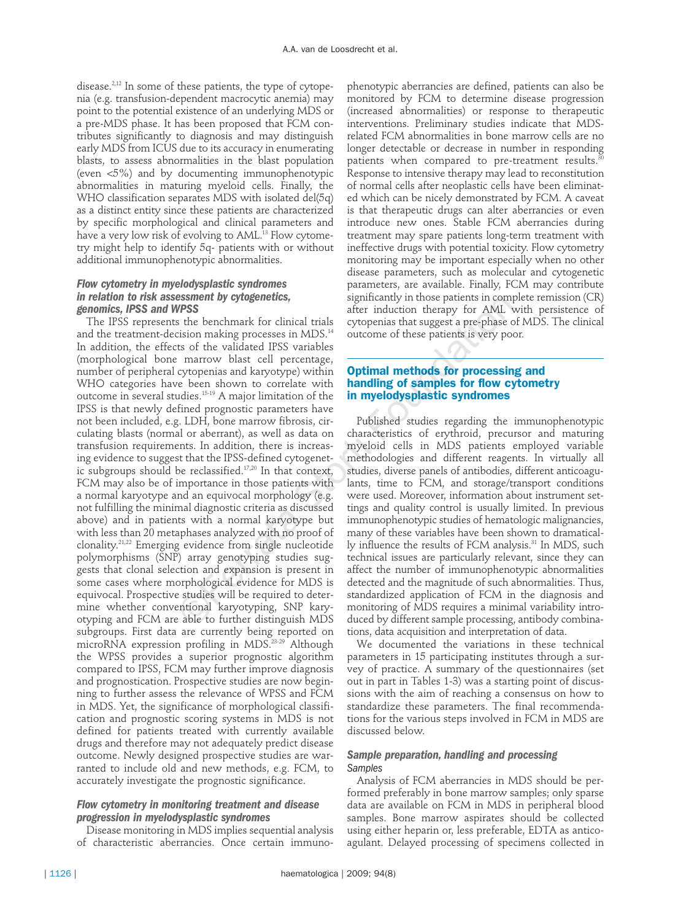disease.<sup>2,12</sup> In some of these patients, the type of cytopenia (e.g. transfusion-dependent macrocytic anemia) may point to the potential existence of an underlying MDS or a pre-MDS phase. It has been proposed that FCM contributes significantly to diagnosis and may distinguish early MDS from ICUS due to its accuracy in enumerating blasts, to assess abnormalities in the blast population (even <5%) and by documenting immunophenotypic abnormalities in maturing myeloid cells. Finally, the WHO classification separates MDS with isolated del(5q) as a distinct entity since these patients are characterized by specific morphological and clinical parameters and have a very low risk of evolving to AML.<sup>13</sup> Flow cytometry might help to identify 5q- patients with or without additional immunophenotypic abnormalities.

# *Flow cytometry in myelodysplastic syndromes in relation to risk assessment by cytogenetics, genomics, IPSS and WPSS*

The IPSS represents the benchmark for clinical trials and the treatment-decision making processes in MDS.<sup>14</sup> In addition, the effects of the validated IPSS variables (morphological bone marrow blast cell percentage, number of peripheral cytopenias and karyotype) within WHO categories have been shown to correlate with outcome in several studies.<sup>15-19</sup> A major limitation of the IPSS is that newly defined prognostic parameters have not been included, e.g. LDH, bone marrow fibrosis, circulating blasts (normal or aberrant), as well as data on transfusion requirements. In addition, there is increasing evidence to suggest that the IPSS-defined cytogenetic subgroups should be reclassified.17,20 In that context, FCM may also be of importance in those patients with a normal karyotype and an equivocal morphology (e.g. not fulfilling the minimal diagnostic criteria as discussed above) and in patients with a normal karyotype but with less than 20 metaphases analyzed with no proof of clonality.21,22 Emerging evidence from single nucleotide polymorphisms (SNP) array genotyping studies suggests that clonal selection and expansion is present in some cases where morphological evidence for MDS is equivocal. Prospective studies will be required to determine whether conventional karyotyping, SNP karyotyping and FCM are able to further distinguish MDS subgroups. First data are currently being reported on microRNA expression profiling in MDS.<sup>23-29</sup> Although the WPSS provides a superior prognostic algorithm compared to IPSS, FCM may further improve diagnosis and prognostication. Prospective studies are now beginning to further assess the relevance of WPSS and FCM in MDS. Yet, the significance of morphological classification and prognostic scoring systems in MDS is not defined for patients treated with currently available drugs and therefore may not adequately predict disease outcome. Newly designed prospective studies are warranted to include old and new methods, e.g. FCM, to accurately investigate the prognostic significance. **EXEMENT DEFECTS:**<br> **EXEMENT AND STEP SERVENT STONG STAND STAND STAND STAND STAND STAND STAND STAND STAND STAND STAND STAND STAND STAND STAND STAND STAND STAND STAND STAND STAND STAND STAND STAND STAND STAND STAND STAND ST** 

# *Flow cytometry in monitoring treatment and disease progression in myelodysplastic syndromes*

Disease monitoring in MDS implies sequential analysis of characteristic aberrancies. Once certain immuno-

phenotypic aberrancies are defined, patients can also be monitored by FCM to determine disease progression (increased abnormalities) or response to therapeutic interventions. Preliminary studies indicate that MDSrelated FCM abnormalities in bone marrow cells are no longer detectable or decrease in number in responding patients when compared to pre-treatment results. ${}^{3}$ Response to intensive therapy may lead to reconstitution of normal cells after neoplastic cells have been eliminated which can be nicely demonstrated by FCM. A caveat is that therapeutic drugs can alter aberrancies or even introduce new ones. Stable FCM aberrancies during treatment may spare patients long-term treatment with ineffective drugs with potential toxicity. Flow cytometry monitoring may be important especially when no other disease parameters, such as molecular and cytogenetic parameters, are available. Finally, FCM may contribute significantly in those patients in complete remission (CR) after induction therapy for AML with persistence of cytopenias that suggest a pre-phase of MDS. The clinical outcome of these patients is very poor.

# **Optimal methods for processing and handling of samples for flow cytometry in myelodysplastic syndromes**

Published studies regarding the immunophenotypic characteristics of erythroid, precursor and maturing myeloid cells in MDS patients employed variable methodologies and different reagents. In virtually all studies, diverse panels of antibodies, different anticoagulants, time to FCM, and storage/transport conditions were used. Moreover, information about instrument settings and quality control is usually limited. In previous immunophenotypic studies of hematologic malignancies, many of these variables have been shown to dramatically influence the results of FCM analysis.<sup>31</sup> In MDS, such technical issues are particularly relevant, since they can affect the number of immunophenotypic abnormalities detected and the magnitude of such abnormalities. Thus, standardized application of FCM in the diagnosis and monitoring of MDS requires a minimal variability introduced by different sample processing, antibody combinations, data acquisition and interpretation of data.

We documented the variations in these technical parameters in 15 participating institutes through a survey of practice. A summary of the questionnaires (set out in part in Tables 1-3) was a starting point of discussions with the aim of reaching a consensus on how to standardize these parameters. The final recommendations for the various steps involved in FCM in MDS are discussed below.

# *Sample preparation, handling and processing Samples*

Analysis of FCM aberrancies in MDS should be performed preferably in bone marrow samples; only sparse data are available on FCM in MDS in peripheral blood samples. Bone marrow aspirates should be collected using either heparin or, less preferable, EDTA as anticoagulant. Delayed processing of specimens collected in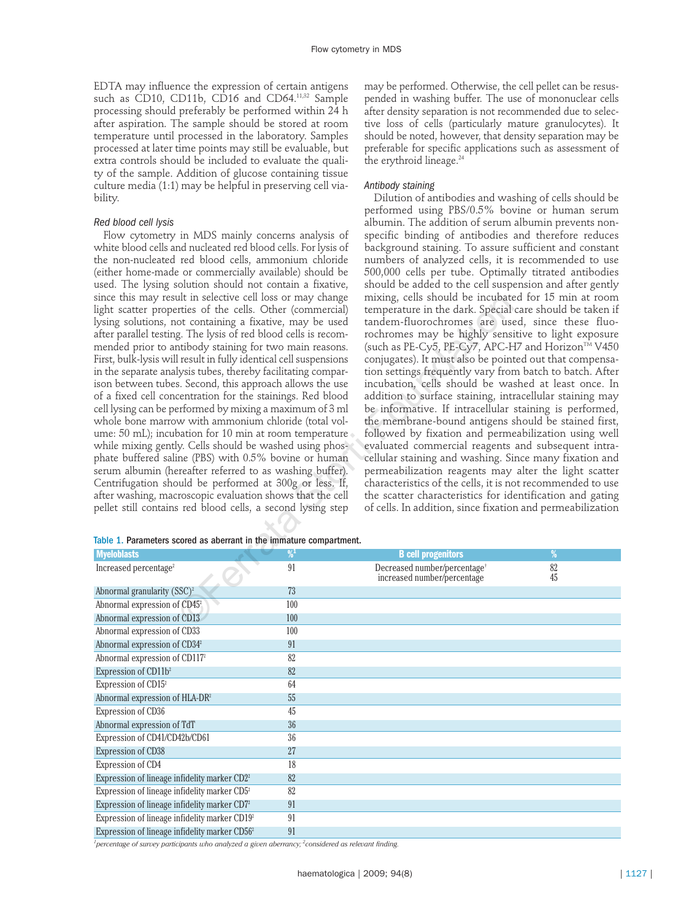EDTA may influence the expression of certain antigens such as CD10, CD11b, CD16 and CD64.<sup>11,32</sup> Sample processing should preferably be performed within 24 h after aspiration. The sample should be stored at room temperature until processed in the laboratory. Samples processed at later time points may still be evaluable, but extra controls should be included to evaluate the quality of the sample. Addition of glucose containing tissue culture media (1:1) may be helpful in preserving cell viability.

#### *Red blood cell lysis*

Flow cytometry in MDS mainly concerns analysis of white blood cells and nucleated red blood cells. For lysis of the non-nucleated red blood cells, ammonium chloride (either home-made or commercially available) should be used. The lysing solution should not contain a fixative, since this may result in selective cell loss or may change light scatter properties of the cells. Other (commercial) lysing solutions, not containing a fixative, may be used after parallel testing. The lysis of red blood cells is recommended prior to antibody staining for two main reasons. First, bulk-lysis will result in fully identical cell suspensions in the separate analysis tubes, thereby facilitating comparison between tubes. Second, this approach allows the use of a fixed cell concentration for the stainings. Red blood cell lysing can be performed by mixing a maximum of 3 ml whole bone marrow with ammonium chloride (total volume: 50 mL); incubation for 10 min at room temperature while mixing gently. Cells should be washed using phosphate buffered saline (PBS) with 0.5% bovine or human serum albumin (hereafter referred to as washing buffer). Centrifugation should be performed at 300g or less. If, after washing, macroscopic evaluation shows that the cell pellet still contains red blood cells, a second lysing step Ut in selective cell loss or may change mixing, cells should be incubated and the model of the fields. Storting a fixative, may be used tandem-fluorochromes are used the cells. Other (commercial) temperature in the dark. S

may be performed. Otherwise, the cell pellet can be resuspended in washing buffer. The use of mononuclear cells after density separation is not recommended due to selective loss of cells (particularly mature granulocytes). It should be noted, however, that density separation may be preferable for specific applications such as assessment of the erythroid lineage.<sup>24</sup>

#### *Antibody staining*

Dilution of antibodies and washing of cells should be performed using PBS/0.5% bovine or human serum albumin. The addition of serum albumin prevents nonspecific binding of antibodies and therefore reduces background staining. To assure sufficient and constant numbers of analyzed cells, it is recommended to use 500,000 cells per tube. Optimally titrated antibodies should be added to the cell suspension and after gently mixing, cells should be incubated for 15 min at room temperature in the dark. Special care should be taken if tandem-fluorochromes are used, since these fluorochromes may be highly sensitive to light exposure (such as PE-Cy5, PE-Cy7, APC-H7 and Horizon<sup>TM</sup> V450 conjugates). It must also be pointed out that compensation settings frequently vary from batch to batch. After incubation, cells should be washed at least once. In addition to surface staining, intracellular staining may be informative. If intracellular staining is performed, the membrane-bound antigens should be stained first, followed by fixation and permeabilization using well evaluated commercial reagents and subsequent intracellular staining and washing. Since many fixation and permeabilization reagents may alter the light scatter characteristics of the cells, it is not recommended to use the scatter characteristics for identification and gating of cells. In addition, since fixation and permeabilization

|  |  |  | Table 1. Parameters scored as aberrant in the immature compartment. |  |
|--|--|--|---------------------------------------------------------------------|--|
|  |  |  |                                                                     |  |

| <b>Myeloblasts</b>                                        | $\frac{9}{1}$ | <b>B</b> cell progenitors                                               | %        |  |
|-----------------------------------------------------------|---------------|-------------------------------------------------------------------------|----------|--|
| Increased percentage <sup>2</sup>                         | 91            | Decreased number/percentage <sup>+</sup><br>increased number/percentage | 82<br>45 |  |
| Abnormal granularity $(SSC)^2$                            | 73            |                                                                         |          |  |
| Abnormal expression of CD45 <sup>2</sup>                  | 100           |                                                                         |          |  |
| Abnormal expression of CD13                               | 100           |                                                                         |          |  |
| Abnormal expression of CD33                               | 100           |                                                                         |          |  |
| Abnormal expression of CD34 <sup>2</sup>                  | 91            |                                                                         |          |  |
| Abnormal expression of CD117 <sup>2</sup>                 | 82            |                                                                         |          |  |
| Expression of CD11b <sup>2</sup>                          | 82            |                                                                         |          |  |
| Expression of CD15 <sup>2</sup>                           | 64            |                                                                         |          |  |
| Abnormal expression of HLA-DR <sup>2</sup>                | 55            |                                                                         |          |  |
| Expression of CD36                                        | 45            |                                                                         |          |  |
| Abnormal expression of TdT                                | 36            |                                                                         |          |  |
| Expression of CD41/CD42b/CD61                             | 36            |                                                                         |          |  |
| Expression of CD38                                        | 27            |                                                                         |          |  |
| Expression of CD4                                         | 18            |                                                                         |          |  |
| Expression of lineage infidelity marker CD2 <sup>2</sup>  | 82            |                                                                         |          |  |
| Expression of lineage infidelity marker CD5 <sup>2</sup>  | 82            |                                                                         |          |  |
| Expression of lineage infidelity marker CD7 <sup>2</sup>  | 91            |                                                                         |          |  |
| Expression of lineage infidelity marker CD19 <sup>2</sup> | 91            |                                                                         |          |  |
| Expression of lineage infidelity marker CD56 <sup>2</sup> | 91            |                                                                         |          |  |

*1 percentage of survey participants who analyzed a given aberrancy; <sup>2</sup> considered as relevant finding.*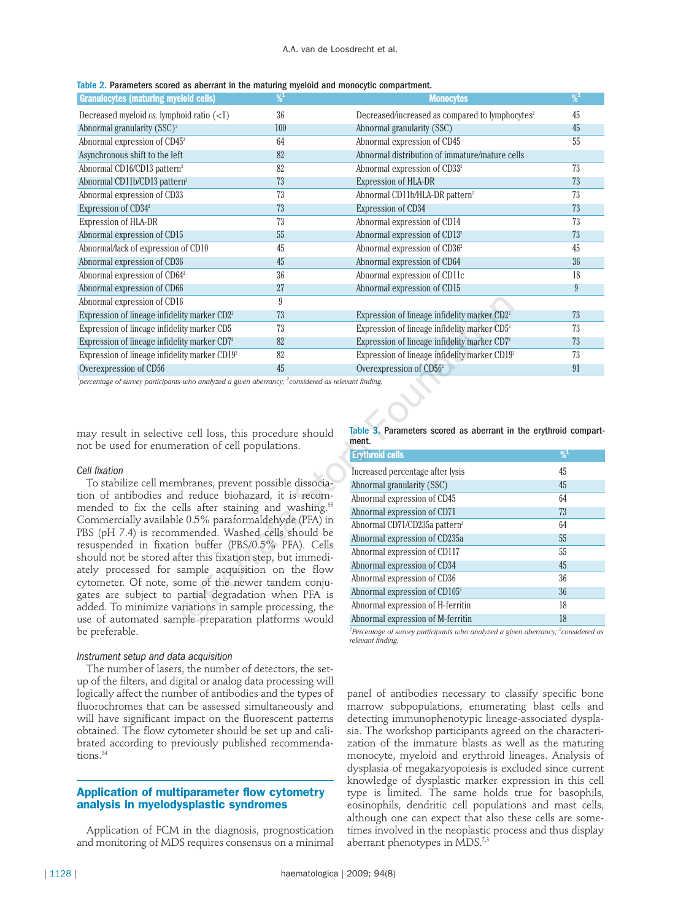|  |  |  |  |  |  |  |  |  | Table 2. Parameters scored as aberrant in the maturing myeloid and monocytic compartment. |  |
|--|--|--|--|--|--|--|--|--|-------------------------------------------------------------------------------------------|--|
|--|--|--|--|--|--|--|--|--|-------------------------------------------------------------------------------------------|--|

| <b>Granulocytes (maturing myeloid cells)</b>                                                                   | $\frac{9}{1}$ | <b>Monocytes</b>                                            | $\frac{9}{1}$ |
|----------------------------------------------------------------------------------------------------------------|---------------|-------------------------------------------------------------|---------------|
| Decreased myeloid $\nu s$ . lymphoid ratio $(\langle 1 \rangle)$                                               | 36            | Decreased/increased as compared to lymphocytes <sup>2</sup> | 45            |
| Abnormal granularity $(SSC)^2$                                                                                 | 100           | Abnormal granularity (SSC)                                  | 45            |
| Abnormal expression of CD45 <sup>2</sup>                                                                       | 64            | Abnormal expression of CD45                                 | 55            |
| Asynchronous shift to the left                                                                                 | 82            | Abnormal distribution of immature/mature cells              |               |
| Abnormal CD16/CD13 pattern <sup>2</sup>                                                                        | 82            | Abnormal expression of CD33 <sup>2</sup>                    | 73            |
| Abnormal CD11b/CD13 pattern <sup>2</sup>                                                                       | 73            | <b>Expression of HLA-DR</b>                                 | 73            |
| Abnormal expression of CD33                                                                                    | 73            | Abnormal CD11b/HLA-DR pattern <sup>2</sup>                  | 73            |
| Expression of CD34 <sup>2</sup>                                                                                | 73            | <b>Expression of CD34</b>                                   | 73            |
| Expression of HLA-DR                                                                                           | 73            | Abnormal expression of CD14                                 | 73            |
| Abnormal expression of CD15                                                                                    | 55            | Abnormal expression of CD13 <sup>2</sup>                    | 73            |
| Abnormal/lack of expression of CD10                                                                            | 45            | Abnormal expression of CD36 <sup>2</sup>                    | 45            |
| Abnormal expression of CD36                                                                                    | 45            | Abnormal expression of CD64                                 | 36            |
| Abnormal expression of CD64 <sup>2</sup>                                                                       | 36            | Abnormal expression of CD11c                                | 18            |
| Abnormal expression of CD66                                                                                    | 27            | Abnormal expression of CD15                                 | 9             |
| Abnormal expression of CD16                                                                                    | 9             |                                                             |               |
| Expression of lineage infidelity marker CD2 <sup>2</sup>                                                       | 73            | Expression of lineage infidelity marker CD2 <sup>2</sup>    | 73            |
| Expression of lineage infidelity marker CD5                                                                    | 73            | Expression of lineage infidelity marker CD5 <sup>2</sup>    | 73            |
| Expression of lineage infidelity marker CD7 <sup>2</sup>                                                       | 82            | Expression of lineage infidelity marker CD7 <sup>2</sup>    | 73            |
| Expression of lineage infidelity marker CD19 <sup>2</sup>                                                      | 82            | Expression of lineage infidelity marker CD19 <sup>2</sup>   | 73            |
| Overexpression of CD56                                                                                         | 45            | Overexpression of CD56 <sup>2</sup>                         | 91            |
| percentage of survey participants who analyzed a given aberrancy: $\frac{2}{3}$ considered as relevant finding |               |                                                             |               |

*percentage of survey participants who analyzed a given aberrancy; <sup>2</sup> considered as relevant finding.*

may result in selective cell loss, this procedure should not be used for enumeration of cell populations.

#### *Cell fixation*

To stabilize cell membranes, prevent possible dissociation of antibodies and reduce biohazard, it is recommended to fix the cells after staining and washing.<sup>33</sup> Commercially available 0.5% paraformaldehyde (PFA) in PBS (pH 7.4) is recommended. Washed cells should be resuspended in fixation buffer (PBS/0.5% PFA). Cells should not be stored after this fixation step, but immediately processed for sample acquisition on the flow cytometer. Of note, some of the newer tandem conjugates are subject to partial degradation when PFA is added. To minimize variations in sample processing, the use of automated sample preparation platforms would be preferable.

#### *Instrument setup and data acquisition*

The number of lasers, the number of detectors, the setup of the filters, and digital or analog data processing will logically affect the number of antibodies and the types of fluorochromes that can be assessed simultaneously and will have significant impact on the fluorescent patterns obtained. The flow cytometer should be set up and calibrated according to previously published recommendations.<sup>34</sup>

#### **Application of multiparameter flow cytometry analysis in myelodysplastic syndromes**

Application of FCM in the diagnosis, prognostication and monitoring of MDS requires consensus on a minimal

| 16                                                                                                                                                                                                                                                                                                                                                                                   | 9  |                                                                                                                                                                                                                                                                                                                                                       |                                                          |
|--------------------------------------------------------------------------------------------------------------------------------------------------------------------------------------------------------------------------------------------------------------------------------------------------------------------------------------------------------------------------------------|----|-------------------------------------------------------------------------------------------------------------------------------------------------------------------------------------------------------------------------------------------------------------------------------------------------------------------------------------------------------|----------------------------------------------------------|
| elity marker CD2 <sup>2</sup>                                                                                                                                                                                                                                                                                                                                                        | 73 | Expression of lineage infidelity marker CD2 <sup>2</sup>                                                                                                                                                                                                                                                                                              | 73                                                       |
| elity marker CD5                                                                                                                                                                                                                                                                                                                                                                     | 73 | Expression of lineage infidelity marker CD5 <sup>2</sup>                                                                                                                                                                                                                                                                                              | 73                                                       |
| elity marker CD7 <sup>2</sup>                                                                                                                                                                                                                                                                                                                                                        | 82 | Expression of lineage infidelity marker CD7 <sup>2</sup>                                                                                                                                                                                                                                                                                              | 73                                                       |
| elity marker CD19 <sup>2</sup>                                                                                                                                                                                                                                                                                                                                                       | 82 | Expression of lineage infidelity marker CD19 <sup>2</sup>                                                                                                                                                                                                                                                                                             | 73                                                       |
| ts who analyzed a given aberrancy; $^2$ considered as relevant finding.                                                                                                                                                                                                                                                                                                              | 45 | Overexpression of CD56 <sup>2</sup>                                                                                                                                                                                                                                                                                                                   | 91                                                       |
| e cell loss, this procedure should                                                                                                                                                                                                                                                                                                                                                   |    | Table 3. Parameters scored as aberrant in the erythroid compart-<br>ment.                                                                                                                                                                                                                                                                             |                                                          |
| eration of cell populations.                                                                                                                                                                                                                                                                                                                                                         |    | <b>Erythroid cells</b>                                                                                                                                                                                                                                                                                                                                | $\frac{9}{1}$                                            |
| nbranes, prevent possible dissocia-<br>d reduce biohazard, it is recom-<br>ells after staining and washing. <sup>33</sup><br>le 0.5% paraformaldehyde (PFA) in<br>nmended. Washed cells should be<br>ion buffer (PBS/0.5% PFA). Cells<br>fter this fixation step, but immedi-<br>sample acquisition on the flow<br>ome of the newer tandem conju-<br>partial degradation when PFA is |    | Increased percentage after lysis<br>Abnormal granularity (SSC)<br>Abnormal expression of CD45<br>Abnormal expression of CD71<br>Abnormal CD71/CD235a pattern <sup>2</sup><br>Abnormal expression of CD235a<br>Abnormal expression of CD117<br>Abnormal expression of CD34<br>Abnormal expression of CD36<br>Abnormal expression of CD105 <sup>2</sup> | 45<br>45<br>64<br>73<br>64<br>55<br>55<br>45<br>36<br>36 |
| ariations in sample processing, the                                                                                                                                                                                                                                                                                                                                                  |    | Abnormal expression of H-ferritin<br>Abnormal expression of M-ferritin                                                                                                                                                                                                                                                                                | 18<br>18                                                 |
| nple preparation platforms would                                                                                                                                                                                                                                                                                                                                                     |    |                                                                                                                                                                                                                                                                                                                                                       |                                                          |

*1 Percentage of survey participants who analyzed a given aberrancy; <sup>2</sup> considered as relevant finding.*

panel of antibodies necessary to classify specific bone marrow subpopulations, enumerating blast cells and detecting immunophenotypic lineage-associated dysplasia. The workshop participants agreed on the characterization of the immature blasts as well as the maturing monocyte, myeloid and erythroid lineages. Analysis of dysplasia of megakaryopoiesis is excluded since current knowledge of dysplastic marker expression in this cell type is limited. The same holds true for basophils, eosinophils, dendritic cell populations and mast cells, although one can expect that also these cells are sometimes involved in the neoplastic process and thus display aberrant phenotypes in MDS.<sup>7,3</sup>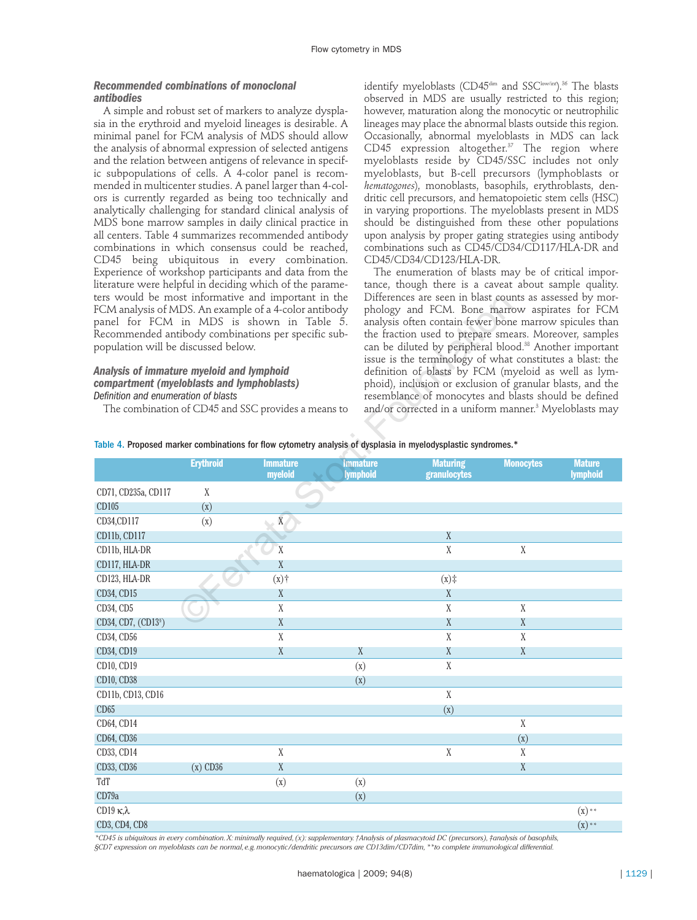# *Recommended combinations of monoclonal antibodies*

A simple and robust set of markers to analyze dysplasia in the erythroid and myeloid lineages is desirable. A minimal panel for FCM analysis of MDS should allow the analysis of abnormal expression of selected antigens and the relation between antigens of relevance in specific subpopulations of cells. A 4-color panel is recommended in multicenter studies. A panel larger than 4-colors is currently regarded as being too technically and analytically challenging for standard clinical analysis of MDS bone marrow samples in daily clinical practice in all centers. Table 4 summarizes recommended antibody combinations in which consensus could be reached, CD45 being ubiquitous in every combination. Experience of workshop participants and data from the literature were helpful in deciding which of the parameters would be most informative and important in the FCM analysis of MDS. An example of a 4-color antibody panel for FCM in MDS is shown in Table 5. Recommended antibody combinations per specific subpopulation will be discussed below.

#### *Analysis of immature myeloid and lymphoid compartment (myeloblasts and lymphoblasts) Definition and enumeration of blasts*

identify myeloblasts (CD45<sup>dim</sup> and SSC<sup>low/int</sup>).<sup>36</sup> The blasts observed in MDS are usually restricted to this region; however, maturation along the monocytic or neutrophilic lineages may place the abnormal blasts outside this region. Occasionally, abnormal myeloblasts in MDS can lack CD45 expression altogether. $37$  The region where myeloblasts reside by CD45/SSC includes not only myeloblasts, but B-cell precursors (lymphoblasts or *hematogones*), monoblasts, basophils, erythroblasts, dendritic cell precursors, and hematopoietic stem cells (HSC) in varying proportions. The myeloblasts present in MDS should be distinguished from these other populations upon analysis by proper gating strategies using antibody combinations such as CD45/CD34/CD117/HLA-DR and CD45/CD34/CD123/HLA-DR.

The enumeration of blasts may be of critical importance, though there is a caveat about sample quality. Differences are seen in blast counts as assessed by morphology and FCM. Bone marrow aspirates for FCM analysis often contain fewer bone marrow spicules than the fraction used to prepare smears. Moreover, samples can be diluted by peripheral blood.<sup>38</sup> Another important issue is the terminology of what constitutes a blast: the definition of blasts by FCM (myeloid as well as lymphoid), inclusion or exclusion of granular blasts, and the resemblance of monocytes and blasts should be defined and/or corrected in a uniform manner.<sup>3</sup> Myeloblasts may

|  |  | Table 4. Proposed marker combinations for flow cytometry analysis of dysplasia in myelodysplastic syndromes.* |
|--|--|---------------------------------------------------------------------------------------------------------------|
|--|--|---------------------------------------------------------------------------------------------------------------|

| FCM analysis of MDS. An example of a 4-color antibody<br>panel for FCM in MDS is shown in Table 5.<br>Recommended antibody combinations per specific sub-<br>population will be discussed below.<br><b>Analysis of immature myeloid and lymphoid</b><br>compartment (myeloblasts and lymphoblasts)<br>Definition and enumeration of blasts<br>Table 4. Proposed marker combinations for flow cytometry analysis of dysplasia in myelodysplastic syndromes.* |                  | ters would be most informative and important in the<br>The combination of CD45 and SSC provides a means to |                                                  | Differences are seen in blast counts as assessed by mor-<br>phology and FCM. Bone marrow aspirates for FCM<br>analysis often contain fewer bone marrow spicules than<br>the fraction used to prepare smears. Moreover, samples<br>can be diluted by peripheral blood. <sup>38</sup> Another important<br>issue is the terminology of what constitutes a blast: the<br>definition of blasts by FCM (myeloid as well as lym-<br>phoid), inclusion or exclusion of granular blasts, and the<br>resemblance of monocytes and blasts should be defined<br>and/or corrected in a uniform manner. <sup>3</sup> Myeloblasts may |                   |                                  |
|-------------------------------------------------------------------------------------------------------------------------------------------------------------------------------------------------------------------------------------------------------------------------------------------------------------------------------------------------------------------------------------------------------------------------------------------------------------|------------------|------------------------------------------------------------------------------------------------------------|--------------------------------------------------|-------------------------------------------------------------------------------------------------------------------------------------------------------------------------------------------------------------------------------------------------------------------------------------------------------------------------------------------------------------------------------------------------------------------------------------------------------------------------------------------------------------------------------------------------------------------------------------------------------------------------|-------------------|----------------------------------|
|                                                                                                                                                                                                                                                                                                                                                                                                                                                             | <b>Erythroid</b> | <b>Immature</b><br>myeloid                                                                                 | <b>Immature</b><br><i><u><b>Iymphoid</b></u></i> | <b>Maturing</b><br>granulocytes                                                                                                                                                                                                                                                                                                                                                                                                                                                                                                                                                                                         | <b>Monocytes</b>  | <b>Mature</b><br><b>lymphoid</b> |
| CD71, CD235a, CD117                                                                                                                                                                                                                                                                                                                                                                                                                                         | X                |                                                                                                            |                                                  |                                                                                                                                                                                                                                                                                                                                                                                                                                                                                                                                                                                                                         |                   |                                  |
| CD105                                                                                                                                                                                                                                                                                                                                                                                                                                                       | (X)              |                                                                                                            |                                                  |                                                                                                                                                                                                                                                                                                                                                                                                                                                                                                                                                                                                                         |                   |                                  |
| CD34,CD117                                                                                                                                                                                                                                                                                                                                                                                                                                                  | (X)              | $\mathbf X$                                                                                                |                                                  |                                                                                                                                                                                                                                                                                                                                                                                                                                                                                                                                                                                                                         |                   |                                  |
| CD11b, CD117                                                                                                                                                                                                                                                                                                                                                                                                                                                |                  |                                                                                                            |                                                  | X                                                                                                                                                                                                                                                                                                                                                                                                                                                                                                                                                                                                                       |                   |                                  |
| CD11b, HLA-DR                                                                                                                                                                                                                                                                                                                                                                                                                                               |                  | X                                                                                                          |                                                  | X                                                                                                                                                                                                                                                                                                                                                                                                                                                                                                                                                                                                                       | X                 |                                  |
| CD117, HLA-DR                                                                                                                                                                                                                                                                                                                                                                                                                                               |                  | X                                                                                                          |                                                  |                                                                                                                                                                                                                                                                                                                                                                                                                                                                                                                                                                                                                         |                   |                                  |
| CD123, HLA-DR                                                                                                                                                                                                                                                                                                                                                                                                                                               |                  | (x)                                                                                                        |                                                  | (x)                                                                                                                                                                                                                                                                                                                                                                                                                                                                                                                                                                                                                     |                   |                                  |
| CD34, CD15                                                                                                                                                                                                                                                                                                                                                                                                                                                  |                  | X                                                                                                          |                                                  | $\boldsymbol{X}$                                                                                                                                                                                                                                                                                                                                                                                                                                                                                                                                                                                                        |                   |                                  |
| CD34, CD5                                                                                                                                                                                                                                                                                                                                                                                                                                                   |                  | X                                                                                                          |                                                  | X                                                                                                                                                                                                                                                                                                                                                                                                                                                                                                                                                                                                                       | $\mathbf X$       |                                  |
| CD34, CD7, (CD13 <sup>§</sup> )                                                                                                                                                                                                                                                                                                                                                                                                                             |                  | X                                                                                                          |                                                  | X                                                                                                                                                                                                                                                                                                                                                                                                                                                                                                                                                                                                                       | X                 |                                  |
| CD34, CD56                                                                                                                                                                                                                                                                                                                                                                                                                                                  |                  | $\mathbf{X}$                                                                                               |                                                  | $\mathbf X$                                                                                                                                                                                                                                                                                                                                                                                                                                                                                                                                                                                                             | X                 |                                  |
| CD34, CD19                                                                                                                                                                                                                                                                                                                                                                                                                                                  |                  | X                                                                                                          | X                                                | X                                                                                                                                                                                                                                                                                                                                                                                                                                                                                                                                                                                                                       | X                 |                                  |
| CD10, CD19                                                                                                                                                                                                                                                                                                                                                                                                                                                  |                  |                                                                                                            | (x)                                              | $\mathbf X$                                                                                                                                                                                                                                                                                                                                                                                                                                                                                                                                                                                                             |                   |                                  |
| CD10, CD38                                                                                                                                                                                                                                                                                                                                                                                                                                                  |                  |                                                                                                            | (X)                                              |                                                                                                                                                                                                                                                                                                                                                                                                                                                                                                                                                                                                                         |                   |                                  |
| CD11b, CD13, CD16                                                                                                                                                                                                                                                                                                                                                                                                                                           |                  |                                                                                                            |                                                  | $\mathbf X$                                                                                                                                                                                                                                                                                                                                                                                                                                                                                                                                                                                                             |                   |                                  |
| CD65                                                                                                                                                                                                                                                                                                                                                                                                                                                        |                  |                                                                                                            |                                                  | (X)                                                                                                                                                                                                                                                                                                                                                                                                                                                                                                                                                                                                                     |                   |                                  |
| CD64, CD14                                                                                                                                                                                                                                                                                                                                                                                                                                                  |                  |                                                                                                            |                                                  |                                                                                                                                                                                                                                                                                                                                                                                                                                                                                                                                                                                                                         | $\mathbf X$       |                                  |
| CD64, CD36                                                                                                                                                                                                                                                                                                                                                                                                                                                  |                  |                                                                                                            |                                                  |                                                                                                                                                                                                                                                                                                                                                                                                                                                                                                                                                                                                                         | $\left( x\right)$ |                                  |
| CD33, CD14                                                                                                                                                                                                                                                                                                                                                                                                                                                  |                  | X                                                                                                          |                                                  | $\mathbf X$                                                                                                                                                                                                                                                                                                                                                                                                                                                                                                                                                                                                             | X                 |                                  |
| CD33, CD36                                                                                                                                                                                                                                                                                                                                                                                                                                                  | $(x)$ CD36       | X                                                                                                          |                                                  |                                                                                                                                                                                                                                                                                                                                                                                                                                                                                                                                                                                                                         | X                 |                                  |
| TdT                                                                                                                                                                                                                                                                                                                                                                                                                                                         |                  | (X)                                                                                                        | (X)                                              |                                                                                                                                                                                                                                                                                                                                                                                                                                                                                                                                                                                                                         |                   |                                  |
| CD79a                                                                                                                                                                                                                                                                                                                                                                                                                                                       |                  |                                                                                                            | (X)                                              |                                                                                                                                                                                                                                                                                                                                                                                                                                                                                                                                                                                                                         |                   |                                  |
| CD19 $\kappa$ <sub>2</sub>                                                                                                                                                                                                                                                                                                                                                                                                                                  |                  |                                                                                                            |                                                  |                                                                                                                                                                                                                                                                                                                                                                                                                                                                                                                                                                                                                         |                   | $(x)$ **                         |
| CD3, CD4, CD8                                                                                                                                                                                                                                                                                                                                                                                                                                               |                  |                                                                                                            |                                                  |                                                                                                                                                                                                                                                                                                                                                                                                                                                                                                                                                                                                                         |                   | $(X)$ **                         |

*\*CD45 is ubiquitous in every combination.X: minimally required,(x): supplementary.†Analysis of plasmacytoid DC (precursors),‡analysis of basophils, §CD7 expression on myeloblasts can be normal,e.g.monocytic/dendritic precursors are CD13dim/CD7dim,\*\*to complete immunological differential.*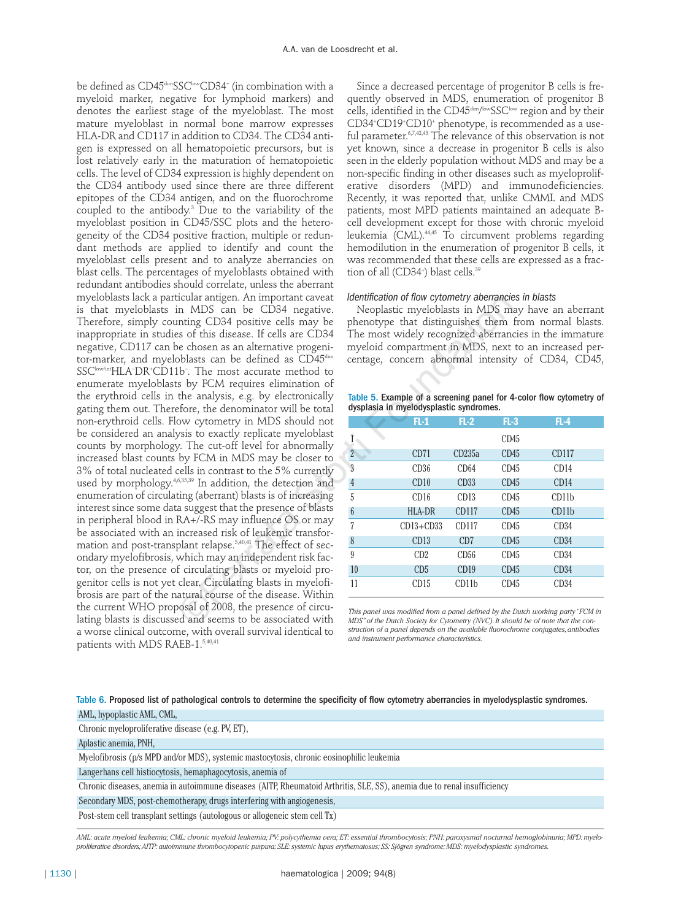be defined as CD45<sup>dim</sup>SSC<sup>low</sup>CD34<sup>+</sup> (in combination with a myeloid marker, negative for lymphoid markers) and denotes the earliest stage of the myeloblast. The most mature myeloblast in normal bone marrow expresses HLA-DR and CD117 in addition to CD34. The CD34 antigen is expressed on all hematopoietic precursors, but is lost relatively early in the maturation of hematopoietic cells. The level of CD34 expression is highly dependent on the CD34 antibody used since there are three different epitopes of the CD34 antigen, and on the fluorochrome coupled to the antibody.3 Due to the variability of the myeloblast position in CD45/SSC plots and the heterogeneity of the CD34 positive fraction, multiple or redundant methods are applied to identify and count the myeloblast cells present and to analyze aberrancies on blast cells. The percentages of myeloblasts obtained with redundant antibodies should correlate, unless the aberrant myeloblasts lack a particular antigen. An important caveat is that myeloblasts in MDS can be CD34 negative. Therefore, simply counting CD34 positive cells may be inappropriate in studies of this disease. If cells are CD34 negative, CD117 can be chosen as an alternative progenitor-marker, and myeloblasts can be defined as CD45<sup>dim</sup> SSClow/intHLA– DR+ CD11b– . The most accurate method to enumerate myeloblasts by FCM requires elimination of the erythroid cells in the analysis, e.g. by electronically gating them out. Therefore, the denominator will be total non-erythroid cells. Flow cytometry in MDS should not be considered an analysis to exactly replicate myeloblast counts by morphology. The cut-off level for abnormally increased blast counts by FCM in MDS may be closer to 3% of total nucleated cells in contrast to the 5% currently used by morphology.4,6,35,39 In addition, the detection and enumeration of circulating (aberrant) blasts is of increasing interest since some data suggest that the presence of blasts in peripheral blood in RA+/-RS may influence OS or may be associated with an increased risk of leukemic transformation and post-transplant relapse.<sup>5,40,41</sup> The effect of secondary myelofibrosis, which may an independent risk factor, on the presence of circulating blasts or myeloid progenitor cells is not yet clear. Circulating blasts in myelofibrosis are part of the natural course of the disease. Within the current WHO proposal of 2008, the presence of circulating blasts is discussed and seems to be associated with a worse clinical outcome, with overall survival identical to patients with MDS RAEB-1.5,40,41 contain antigon. An important caveat *Identification of now cytometry aperances*<br>
in MDS can be CD34 regative. Neoplastic myeloblasts in MDS mining CD34 positive cells may be phenotype that distinguishes them<br>
inting CD

Since a decreased percentage of progenitor B cells is frequently observed in MDS, enumeration of progenitor B cells, identified in the CD45<sup>dim/low</sup>SSC<sup>iow</sup> region and by their CD34+ CD19+ CD10+ phenotype, is recommended as a useful parameter.<sup>6,7,42,43</sup> The relevance of this observation is not yet known, since a decrease in progenitor B cells is also seen in the elderly population without MDS and may be a non-specific finding in other diseases such as myeloproliferative disorders (MPD) and immunodeficiencies. Recently, it was reported that, unlike CMML and MDS patients, most MPD patients maintained an adequate Bcell development except for those with chronic myeloid leukemia (CML).44,45 To circumvent problems regarding hemodilution in the enumeration of progenitor B cells, it was recommended that these cells are expressed as a fraction of all (CD34+ ) blast cells.39

#### *Identification of flow cytometry aberrancies in blasts*

Neoplastic myeloblasts in MDS may have an aberrant phenotype that distinguishes them from normal blasts. The most widely recognized aberrancies in the immature myeloid compartment in MDS, next to an increased percentage, concern abnormal intensity of CD34, CD45,

|  | Table 5. Example of a screening panel for 4-color flow cytometry of |  |  |  |
|--|---------------------------------------------------------------------|--|--|--|
|  | dysplasia in myelodysplastic syndromes.                             |  |  |  |

|                 | $FL-1$          | $FL-2$            | $FL-3$ | $FL-4$            |  |
|-----------------|-----------------|-------------------|--------|-------------------|--|
|                 |                 |                   | CD45   |                   |  |
| $\overline{2}$  | CD71            | CD235a            | CD45   | <b>CD117</b>      |  |
| $\overline{3}$  | CD36            | CD64              | CD45   | CD14              |  |
| $\overline{4}$  | CD10            | CD33              | CD45   | CD14              |  |
| 5               | CD16            | CD13              | CD45   | CD11 <sub>b</sub> |  |
| $6\phantom{.}6$ | <b>HLA-DR</b>   | CD117             | CD45   | CD11 <sub>b</sub> |  |
| 7               | $CD13 + CD33$   | CD117             | CD45   | CD34              |  |
| 8               | CD13            | CD7               | CD45   | CD34              |  |
| 9               | CD2             | CD56              | CD45   | CD34              |  |
| 10              | CD <sub>5</sub> | CD19              | CD45   | CD34              |  |
| 11              | CD15            | CD11 <sub>b</sub> | CD45   | CD34              |  |

*This panel was modified from a panel defined by the Dutch working party "FCM in MDS"of the Dutch Society for Cytometry (NVC).It should be of note that the construction of a panel depends on the available fluorochrome conjugates,antibodies and instrument performance characteristics.*

Table 6. Proposed list of pathological controls to determine the specificity of flow cytometry aberrancies in myelodysplastic syndromes. AML, hypoplastic AML, CML,

| $\ldots$                                                                                                                                                               |
|------------------------------------------------------------------------------------------------------------------------------------------------------------------------|
| Chronic myeloproliferative disease (e.g. PV, ET),                                                                                                                      |
| Aplastic anemia, PNH,                                                                                                                                                  |
| Myelofibrosis (p/s MPD and/or MDS), systemic mastocytosis, chronic eosinophilic leukemia                                                                               |
| Langerhans cell histiocytosis, hemaphagocytosis, anemia of                                                                                                             |
| Chronic diseases, anemia in autoimmune diseases (AITP, Rheumatoid Arthritis, SLE, SS), anemia due to renal insufficiency                                               |
| Secondary MDS, post-chemotherapy, drugs interfering with angiogenesis,                                                                                                 |
| Post-stem cell transplant settings (autologous or allogeneic stem cell Tx)                                                                                             |
| AML: acute myeloid leukemia; CML: chronic myeloid leukemia; PV: polycythemia vera; ET: essential thrombocytosis; PNH: paroxysmal nocturnal hemoglobinuria; MPD: myelo- |

*proliferative disorders;AITP: autoimmune thrombocytopenic purpura; SLE: systemic lupus erythematosus; SS: Sjögren syndrome; MDS: myelodysplastic syndromes.*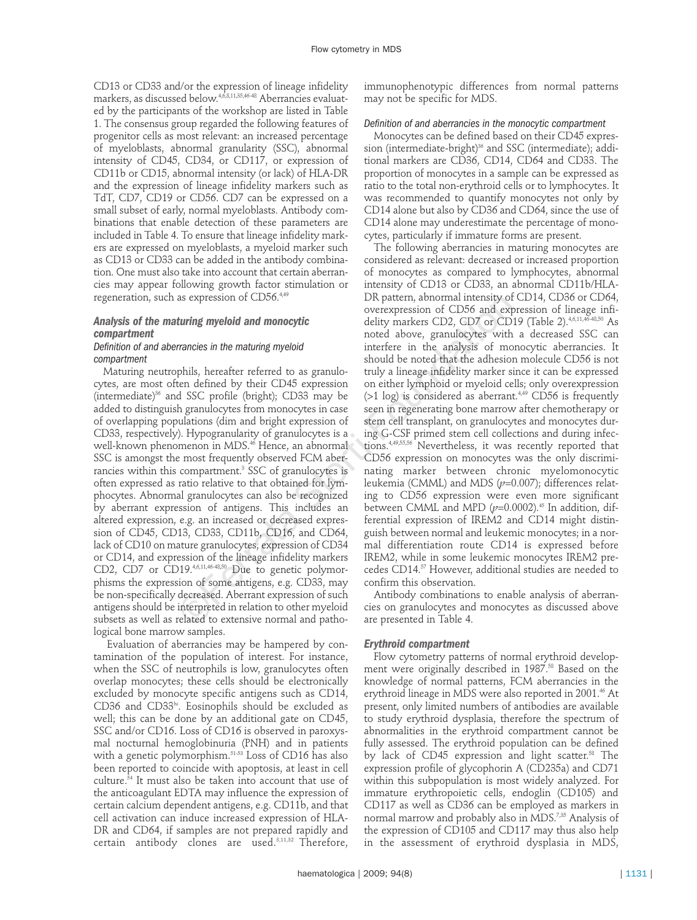CD13 or CD33 and/or the expression of lineage infidelity markers, as discussed below.<sup>4,6,8,11,35,46-48</sup> Aberrancies evaluated by the participants of the workshop are listed in Table 1. The consensus group regarded the following features of progenitor cells as most relevant: an increased percentage of myeloblasts, abnormal granularity (SSC), abnormal intensity of CD45, CD34, or CD117, or expression of CD11b or CD15, abnormal intensity (or lack) of HLA-DR and the expression of lineage infidelity markers such as TdT, CD7, CD19 or CD56. CD7 can be expressed on a small subset of early, normal myeloblasts. Antibody combinations that enable detection of these parameters are included in Table 4. To ensure that lineage infidelity markers are expressed on myeloblasts, a myeloid marker such as CD13 or CD33 can be added in the antibody combination. One must also take into account that certain aberrancies may appear following growth factor stimulation or regeneration, such as expression of CD56.4,49

# *Analysis of the maturing myeloid and monocytic compartment*

# *Definition of and aberrancies in the maturing myeloid compartment*

Maturing neutrophils, hereafter referred to as granulocytes, are most often defined by their CD45 expression (intermediate)36 and SSC profile (bright); CD33 may be added to distinguish granulocytes from monocytes in case of overlapping populations (dim and bright expression of CD33, respectively). Hypogranularity of granulocytes is a well-known phenomenon in MDS.<sup>46</sup> Hence, an abnormal SSC is amongst the most frequently observed FCM aberrancies within this compartment.<sup>3</sup> SSC of granulocytes is often expressed as ratio relative to that obtained for lymphocytes. Abnormal granulocytes can also be recognized by aberrant expression of antigens. This includes an altered expression, e.g. an increased or decreased expression of CD45, CD13, CD33, CD11b, CD16, and CD64, lack of CD10 on mature granulocytes, expression of CD34 or CD14, and expression of the lineage infidelity markers CD2, CD7 or CD19.<sup>4,6,11,46-48,50</sup> Due to genetic polymorphisms the expression of some antigens, e.g. CD33, may be non-specifically decreased. Aberrant expression of such antigens should be interpreted in relation to other myeloid subsets as well as related to extensive normal and pathological bone marrow samples. as expression of CD56.<sup>26</sup> DV pattern, abommal intensity of<br>
overexpression of CD56 and expression of CD56 and expression of CD56 and expression of cD56 and expression<br>
mencies in the maturing myeloid interferre in the an

Evaluation of aberrancies may be hampered by contamination of the population of interest. For instance, when the SSC of neutrophils is low, granulocytes often overlap monocytes; these cells should be electronically excluded by monocyte specific antigens such as CD14, CD36 and CD33hi. Eosinophils should be excluded as well; this can be done by an additional gate on CD45, SSC and/or CD16. Loss of CD16 is observed in paroxysmal nocturnal hemoglobinuria (PNH) and in patients with a genetic polymorphism.<sup>51-53</sup> Loss of CD16 has also been reported to coincide with apoptosis, at least in cell culture.54 It must also be taken into account that use of the anticoagulant EDTA may influence the expression of certain calcium dependent antigens, e.g. CD11b, and that cell activation can induce increased expression of HLA-DR and CD64, if samples are not prepared rapidly and certain antibody clones are used.3,11,32 Therefore,

immunophenotypic differences from normal patterns may not be specific for MDS.

# *Definition of and aberrancies in the monocytic compartment*

Monocytes can be defined based on their CD45 expression (intermediate-bright)<sup>36</sup> and SSC (intermediate); additional markers are CD36, CD14, CD64 and CD33. The proportion of monocytes in a sample can be expressed as ratio to the total non-erythroid cells or to lymphocytes. It was recommended to quantify monocytes not only by CD14 alone but also by CD36 and CD64, since the use of CD14 alone may underestimate the percentage of monocytes, particularly if immature forms are present.

The following aberrancies in maturing monocytes are considered as relevant: decreased or increased proportion of monocytes as compared to lymphocytes, abnormal intensity of CD13 or CD33, an abnormal CD11b/HLA-DR pattern, abnormal intensity of CD14, CD36 or CD64, overexpression of CD56 and expression of lineage infidelity markers CD2, CD7 or CD19 (Table 2).<sup>4,6,11,46-48,50</sup> As noted above, granulocytes with a decreased SSC can interfere in the analysis of monocytic aberrancies. It should be noted that the adhesion molecule CD56 is not truly a lineage infidelity marker since it can be expressed on either lymphoid or myeloid cells; only overexpression  $($ >1 log) is considered as aberrant.<sup>4,49</sup> CD56 is frequently seen in regenerating bone marrow after chemotherapy or stem cell transplant, on granulocytes and monocytes during G-CSF primed stem cell collections and during infections.4,49,55,56 Nevertheless, it was recently reported that CD56 expression on monocytes was the only discriminating marker between chronic myelomonocytic leukemia (CMML) and MDS (*p*=0.007); differences relating to CD56 expression were even more significant between CMML and MPD  $(p=0.0002)$ .<sup>45</sup> In addition, differential expression of IREM2 and CD14 might distinguish between normal and leukemic monocytes; in a normal differentiation route CD14 is expressed before IREM2, while in some leukemic monocytes IREM2 precedes CD14.57 However, additional studies are needed to confirm this observation.

Antibody combinations to enable analysis of aberrancies on granulocytes and monocytes as discussed above are presented in Table 4.

#### *Erythroid compartment*

Flow cytometry patterns of normal erythroid development were originally described in 1987.<sup>58</sup> Based on the knowledge of normal patterns, FCM aberrancies in the erythroid lineage in MDS were also reported in 2001.<sup>46</sup> At present, only limited numbers of antibodies are available to study erythroid dysplasia, therefore the spectrum of abnormalities in the erythroid compartment cannot be fully assessed. The erythroid population can be defined by lack of CD45 expression and light scatter.<sup>58</sup> The expression profile of glycophorin A (CD235a) and CD71 within this subpopulation is most widely analyzed. For immature erythropoietic cells, endoglin (CD105) and CD117 as well as CD36 can be employed as markers in normal marrow and probably also in MDS.<sup>7,35</sup> Analysis of the expression of CD105 and CD117 may thus also help in the assessment of erythroid dysplasia in MDS,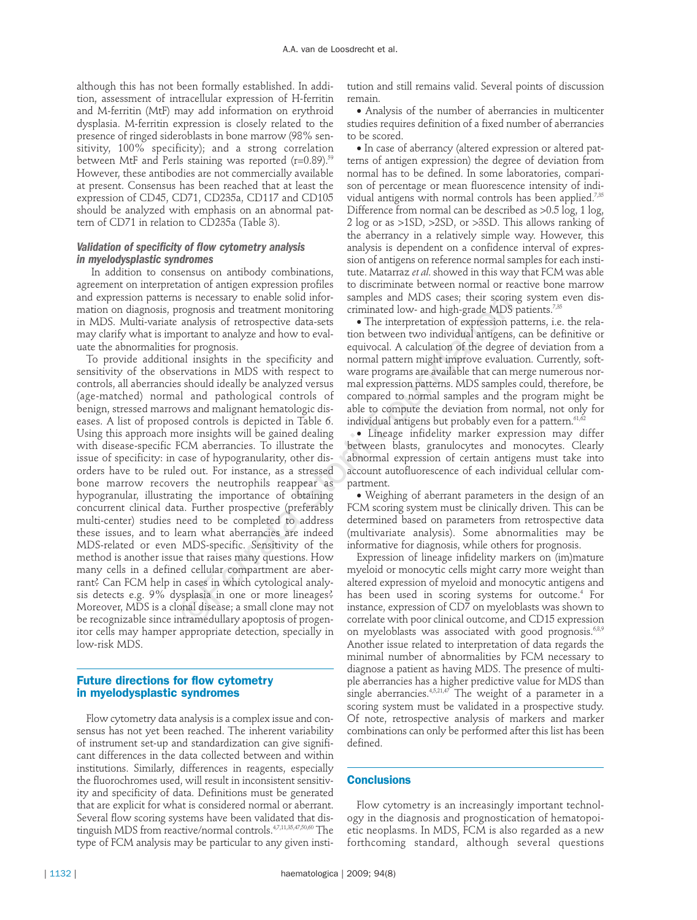although this has not been formally established. In addition, assessment of intracellular expression of H-ferritin and M-ferritin (MtF) may add information on erythroid dysplasia. M-ferritin expression is closely related to the presence of ringed sideroblasts in bone marrow (98% sensitivity, 100% specificity); and a strong correlation between MtF and Perls staining was reported ( $r=0.89$ ).<sup>59</sup> However, these antibodies are not commercially available at present. Consensus has been reached that at least the expression of CD45, CD71, CD235a, CD117 and CD105 should be analyzed with emphasis on an abnormal pattern of CD71 in relation to CD235a (Table 3).

# *Validation of specificity of flow cytometry analysis in myelodysplastic syndromes*

In addition to consensus on antibody combinations, agreement on interpretation of antigen expression profiles and expression patterns is necessary to enable solid information on diagnosis, prognosis and treatment monitoring in MDS. Multi-variate analysis of retrospective data-sets may clarify what is important to analyze and how to evaluate the abnormalities for prognosis.

To provide additional insights in the specificity and sensitivity of the observations in MDS with respect to controls, all aberrancies should ideally be analyzed versus (age-matched) normal and pathological controls of benign, stressed marrows and malignant hematologic diseases. A list of proposed controls is depicted in Table 6. Using this approach more insights will be gained dealing with disease-specific FCM aberrancies. To illustrate the issue of specificity: in case of hypogranularity, other disorders have to be ruled out. For instance, as a stressed bone marrow recovers the neutrophils reappear as hypogranular, illustrating the importance of obtaining concurrent clinical data. Further prospective (preferably multi-center) studies need to be completed to address these issues, and to learn what aberrancies are indeed MDS-related or even MDS-specific. Sensitivity of the method is another issue that raises many questions. How many cells in a defined cellular compartment are aberrant? Can FCM help in cases in which cytological analysis detects e.g. 9% dysplasia in one or more lineages? Moreover, MDS is a clonal disease; a small clone may not be recognizable since intramedullary apoptosis of progenitor cells may hamper appropriate detection, specially in low-risk MDS. is in eccessary to enable solution in samples and MUS cases; their scorn increases and intertment monitoring criminated low- and high-grade MDS analysis of retrospective data-sets **•** The interpretation of expression porta

#### **Future directions for flow cytometry in myelodysplastic syndromes**

Flow cytometry data analysis is a complex issue and consensus has not yet been reached. The inherent variability of instrument set-up and standardization can give significant differences in the data collected between and within institutions. Similarly, differences in reagents, especially the fluorochromes used, will result in inconsistent sensitivity and specificity of data. Definitions must be generated that are explicit for what is considered normal or aberrant. Several flow scoring systems have been validated that distinguish MDS from reactive/normal controls.4,7,11,35,47,50,60 The type of FCM analysis may be particular to any given insti-

tution and still remains valid. Several points of discussion remain.

• Analysis of the number of aberrancies in multicenter studies requires definition of a fixed number of aberrancies to be scored.

• In case of aberrancy (altered expression or altered patterns of antigen expression) the degree of deviation from normal has to be defined. In some laboratories, comparison of percentage or mean fluorescence intensity of individual antigens with normal controls has been applied.<sup>7,35</sup> Difference from normal can be described as >0.5 log, 1 log, 2 log or as >1SD, >2SD, or >3SD. This allows ranking of the aberrancy in a relatively simple way. However, this analysis is dependent on a confidence interval of expression of antigens on reference normal samples for each institute. Matarraz *et al*. showed in this way that FCM was able to discriminate between normal or reactive bone marrow samples and MDS cases; their scoring system even discriminated low- and high-grade MDS patients.<sup>7,35</sup>

• The interpretation of expression patterns, i.e. the relation between two individual antigens, can be definitive or equivocal. A calculation of the degree of deviation from a normal pattern might improve evaluation. Currently, software programs are available that can merge numerous normal expression patterns. MDS samples could, therefore, be compared to normal samples and the program might be able to compute the deviation from normal, not only for individual antigens but probably even for a pattern.<sup>61,62</sup>

• Lineage infidelity marker expression may differ between blasts, granulocytes and monocytes. Clearly abnormal expression of certain antigens must take into account autofluorescence of each individual cellular compartment.

• Weighing of aberrant parameters in the design of an FCM scoring system must be clinically driven. This can be determined based on parameters from retrospective data (multivariate analysis). Some abnormalities may be informative for diagnosis, while others for prognosis.

Expression of lineage infidelity markers on (im)mature myeloid or monocytic cells might carry more weight than altered expression of myeloid and monocytic antigens and has been used in scoring systems for outcome.<sup>4</sup> For instance, expression of CD7 on myeloblasts was shown to correlate with poor clinical outcome, and CD15 expression on myeloblasts was associated with good prognosis.<sup>6,8,9</sup> Another issue related to interpretation of data regards the minimal number of abnormalities by FCM necessary to diagnose a patient as having MDS. The presence of multiple aberrancies has a higher predictive value for MDS than single aberrancies.<sup>4,5,21,47</sup> The weight of a parameter in a scoring system must be validated in a prospective study. Of note, retrospective analysis of markers and marker combinations can only be performed after this list has been defined.

# **Conclusions**

Flow cytometry is an increasingly important technology in the diagnosis and prognostication of hematopoietic neoplasms. In MDS, FCM is also regarded as a new forthcoming standard, although several questions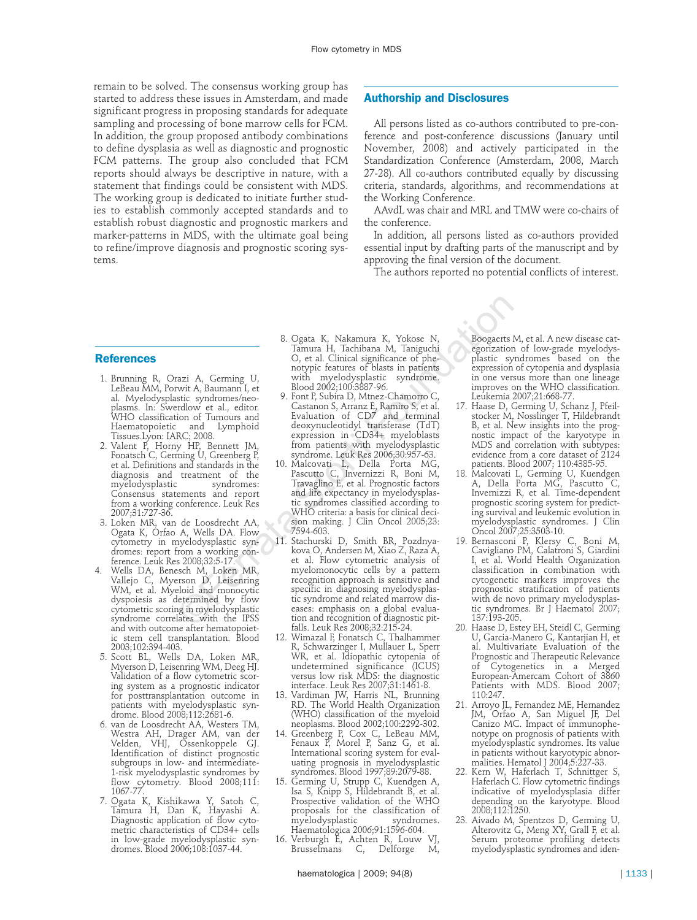remain to be solved. The consensus working group has started to address these issues in Amsterdam, and made significant progress in proposing standards for adequate sampling and processing of bone marrow cells for FCM. In addition, the group proposed antibody combinations to define dysplasia as well as diagnostic and prognostic FCM patterns. The group also concluded that FCM reports should always be descriptive in nature, with a statement that findings could be consistent with MDS. The working group is dedicated to initiate further studies to establish commonly accepted standards and to establish robust diagnostic and prognostic markers and marker-patterns in MDS, with the ultimate goal being to refine/improve diagnosis and prognostic scoring systems.

#### **Authorship and Disclosures**

All persons listed as co-authors contributed to pre-conference and post-conference discussions (January until November, 2008) and actively participated in the Standardization Conference (Amsterdam, 2008, March 27-28). All co-authors contributed equally by discussing criteria, standards, algorithms, and recommendations at the Working Conference.

AAvdL was chair and MRL and TMW were co-chairs of the conference.

In addition, all persons listed as co-authors provided essential input by drafting parts of the manuscript and by approving the final version of the document.

The authors reported no potential conflicts of interest.

#### **References**

- 1. Brunning R, Orazi A, Germing U, LeBeau MM, Porwit A, Baumann I, et al. Myelodysplastic syndromes/neoplasms. In: Swerdlow et al., editor. WHO classification of Tumours and Haematopoietic and Lymphoid Tissues.Lyon: IARC; 2008.
- 2. Valent P, Horny HP, Bennett JM, Fonatsch C, Germing U, Greenberg P, et al. Definitions and standards in the diagnosis and treatment of the<br>myelodysplastic syndromes: myelodysplastic Consensus statements and report from a working conference. Leuk Res 2007;31:727-36.
- 3. Loken MR, van de Loosdrecht AA, Ogata K, Orfao A, Wells DA. Flow cytometry in myelodysplastic syndromes: report from a working conference. Leuk Res 2008;32:5-17.
- 4. Wells DA, Benesch M, Loken MR, Vallejo C, Myerson D, Leisenring WM, et al. Myeloid and monocytic dyspoiesis as determined by flow cytometric scoring in myelodysplastic syndrome correlates with the IPSS and with outcome after hematopoietic stem cell transplantation. Blood 2003;102:394-403.
- 5. Scott BL, Wells DA, Loken MR, Myerson D, Leisenring WM, Deeg HJ. Validation of a flow cytometric scoring system as a prognostic indicator for posttransplantation outcome in patients with myelodysplastic syndrome. Blood 2008;112:2681-6.
- 6. van de Loosdrecht AA, Westers TM, Westra AH, Drager AM, van der Velden, VHJ, Ossenkoppele GJ. Identification of distinct prognostic subgroups in low- and intermediate-1-risk myelodysplastic syndromes by flow cytometry. Blood 2008;111: 1067-77.
- 7. Ogata K, Kishikawa Y, Satoh C, Tamura H, Dan K, Hayashi A. Diagnostic application of flow cytometric characteristics of CD34+ cells in low-grade myelodysplastic syndromes. Blood 2006;108:1037-44.
- 8. Ogata K, Nakamura K, Yokose N, Tamura H, Tachibana M, Taniguchi O, et al. Clinical significance of phenotypic features of blasts in patients with myelodysplastic syndrome. Blood 2002;100:3887-96.
- 9. Font P, Subira D, Mtnez-Chamorro C, Castanon S, Arranz E, Ramiro S, et al. Evaluation of CD7 and terminal deoxynucleotidyl transferase (TdT) expression in CD34+ myeloblasts from patients with myelodysplastic syndrome. Leuk Res 2006;30:957-63.
- 10. Malcovati L, Della Porta MG, Pascutto C, Invernizzi R, Boni M, Travaglino E, et al. Prognostic factors and life expectancy in myelodysplastic syndromes classified according to WHO criteria: a basis for clinical decision making. J Clin Oncol 2005;23: 7594-603.
- 11. Stachurski D, Smith BR, Pozdnyakova O, Andersen M, Xiao Z, Raza A, et al. Flow cytometric analysis of myelomonocytic cells by a pattern recognition approach is sensitive and specific in diagnosing myelodysplastic syndrome and related marrow diseases: emphasis on a global evaluation and recognition of diagnostic pitfalls. Leuk Res 2008;32:215-24. ©Ferrata Storti Foundation
	- 12. Wimazal F, Fonatsch C, Thalhammer R, Schwarzinger I, Mullauer L, Sperr WR, et al. Idiopathic cytopenia of undetermined significance (ICUS) versus low risk MDS: the diagnostic interface. Leuk Res 2007;31:1461-8.
	- 13. Vardiman JW, Harris NL, Brunning RD. The World Health Organization (WHO) classification of the myeloid neoplasms. Blood 2002;100:2292-302.
	- 14. Greenberg P, Cox C, LeBeau MM, Fenaux P, Morel P, Sanz G, et al. International scoring system for evaluating prognosis in myelodysplastic syndromes. Blood 1997;89:2079-88.
	- 15. Germing U, Strupp C, Kuendgen A, Isa S, Knipp S, Hildebrandt B, et al. Prospective validation of the WHO proposals for the classification of myelodysplastic syndromes. Haematologica 2006;91:1596-604.
	- 16. Verburgh E, Achten R, Louw VJ, Brusselmans C, Delforge M,

Boogaerts M, et al. A new disease categorization of low-grade myelodysplastic syndromes based on the expression of cytopenia and dysplasia in one versus more than one lineage improves on the WHO classification. Leukemia 2007;21:668-77.

- 17. Haase D, Germing U, Schanz J, Pfeilstocker M, Nosslinger T, Hildebrandt B, et al. New insights into the prognostic impact of the karyotype in MDS and correlation with subtypes: evidence from a core dataset of 2124 patients. Blood 2007; 110:4385-95.
- 18. Malcovati L, Germing U, Kuendgen A, Della Porta MG, Pascutto C, Invernizzi R, et al. Time-dependent prognostic scoring system for predicting survival and leukemic evolution in myelodysplastic syndromes. J Clin Oncol 2007;25:3503-10.
- 19. Bernasconi P, Klersy C, Boni M, Cavigliano PM, Calatroni S, Giardini I, et al. World Health Organization classification in combination with cytogenetic markers improves the prognostic stratification of patients with de novo primary myelodysplastic syndromes. Br J Haematol 2007; 137:193-205.
- 20. Haase D, Estey EH, Steidl C, Germing U, Garcia-Manero G, Kantarjian H, et al. Multivariate Evaluation of the Prognostic and Therapeutic Relevance of Cytogenetics in a Merged European-Amercam Cohort of 3860 Patients with MDS. Blood 2007; 110:247.
- 21. Arroyo JL, Fernandez ME, Hernandez JM, Orfao A, San Miguel JF, Del Canizo MC. Impact of immunophenotype on prognosis of patients with myelodysplastic syndromes. Its value in patients without karyotypic abnormalities. Hematol J 2004;5:227-33.
- 22. Kern W, Haferlach T, Schnittger S, Haferlach C. Flow cytometric findings indicative of myelodysplasia differ depending on the karyotype. Blood 2008;112:1250.
- 23. Aivado M, Spentzos D, Germing U, Alterovitz G, Meng XY, Grall F, et al. Serum proteome profiling detects myelodysplastic syndromes and iden-